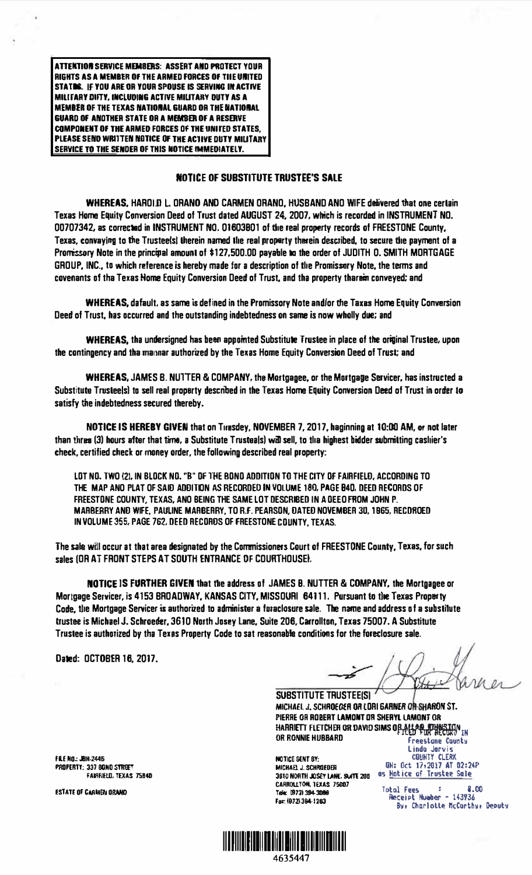ATTENTION SERVICE MEMBERS: ASSERT AND PROTECT YOUR RIGHTS AS A MEMBER OF THE ARMED FORCES OF THE UNITED STATDS. IF YOU ARE OR YOUR SPOUSE IS SERVING IN ACTIVE MILITARY DIFTY, INCLUDING ACTIVE MILITARY DUTY AS A **MEMBER OF THE TEXAS NATIONAL GUARD OR THE NATIONAL GUARD OF ANOTHER STATE OR A MEMBER OF A RESERVE COMPONENT OF THE ARMED FORCES OF THE UNITED STATES.** PLEASE SEND WRITEN NOTICE OF THE ACTIVE DUTY MILITARY SERVICE TO THE SENDER OF THIS NOTICE IMMEDIATELY.

## **NOTICE OF SUBSTITUTE TRUSTEE'S SALE**

**WHEREAS, HAROLD L. ORANO AND CARMEN ORANO, HUSBAND AND WIFE delivered that one certain** Texas Home Equity Conversion Deed of Trust dated AUGUST 24, 2007, which is recorded in INSTRUMENT NO. 00707342, as corrected in INSTRUMENT NO. 01603B01 of the real property records of FREESTONE County, Texas, convaying to the Trusteels! therein named the real proparty therein described, to secure the payment of a Promissory Note in the principal amount of \$127,500.00 payable to the order of JUDITH O. SMITH MORTGAGE GROUP, INC., to which reference is hereby made for a description of the Promissory Note, the terms and covenants of tha Texas Home Equity Conversion Deed of Trust, and tha property tharem conveyed; and

**WHEREAS, dafault, as same is defined in the Promissory Note and/or the Taxas Home Equity Conversion** Deed of Trust, has occurred and the outstanding indebtedness on same is now wholly due; and

**WHEREAS**, the undersigned has been appointed Substitute Trustee in place of the original Trustee, upon the contingency and tha mapper authorized by the Texas Home Equity Conversion Deed of Trust; and

WHEREAS, JAMES B. NUTTER & COMPANY, the Mortgagee, or the Mortgage Servicer, has instructed a Substitute Trusteels) to sell real property described in the Texas Home Equity Conversion Deed of Trust in order to satisfy the indebtedness secured thereby.

NOTICE IS HEREBY GIVEN that on Tuesdey, NOVEMBER 7, 2017, haginning at 10:00 AM, or not later than threa (3) hours after that time, a Substitute Trusteals) will sell, to tha highest bidder submitting cashier's check, certified check or maney order, the following described real property:

LOT NO. TWO (2). IN BLOCK NO. "B" OF THE BOND ADDITION TO THE CITY OF FAIRFIFLD. ACCORDING TO THE MAP AND PLAT OF SAID ADDITION AS RECORDED IN VOLUME 180, PAGE B4D, DEED RECORDS OF FREESTONE COUNTY. TEXAS, ANO BEING THE SAME LOT DESCRIBED IN A DEEO FROM JOHN P. MARBERRY AND WIFE. PAULINE MARBERRY, TO R.F. PEARSON, DATED NOVEMBER 30, 1965, RECDROED IN VOLUME 355, PAGE 762, DEED RECORDS OF FREESTONE COUNTY, TEXAS.

The sale will occur at that area designated by the Commissioners Court of FREESTONE County, Texas, for such sales (OR AT FRONT STEPS AT SOUTH ENTRANCE OF COURTHOUSE).

**NOTICE IS FURTHER GIVEN that the address of JAMES B. NUTTER & COMPANY, the Mortoanee or** Mortgage Servicer, is 4153 BROADWAY, KANSAS CITY, MISSOURI 64111. Pursuant to the Texas Property Code, the Mortgage Servicer is authorized to administer a foraclosure sale. The name and address of a substitute trustee is Michael J. Schroeder, 3610 North Josey Lane, Suite 206, Carrollton, Texas 75007. A Substitute Trustee is authorized by tha Texas Property Code to sat reasonable conditions for the foreclosure sale.

Dated: OCTOBER 16, 2017.

**SUBSTITUTE TRUSTEE(S)** MICHAEL J. SCHAOECEA OR LORI GARNER OR SHARON ST. PIERRE OR ROBERT LAMONT OR SHERYL LAMONT OR HARRIETT FLETCHER OR DAVID SIMS OF ALLAN THARRITAN IN OR RGNNIE HUBBARD Freestone County

**NOTICE SENT BY:** MICHAEL J. SCHROEDER 3610 NORTH JOSEY LANE, SUITE 20B OS Hotice of Trustee Sale CARROLLTON, TEXAS 75007 Tele: (972) 394-3086 Far: (972) 394-1263

Lindo Jarvis ON: Oct 17,2017 AT 02:24P

Total Fees : 8.0<br>Receipt Number - 143736 8.M Bur Charlotte McCorthur Deputy

FILE NO: JBH-2446 PROPERTY: 337 80NO STREET FAIRFIELD, TEXAS 75840

**ESTATE OF CARMEN ORANO** 

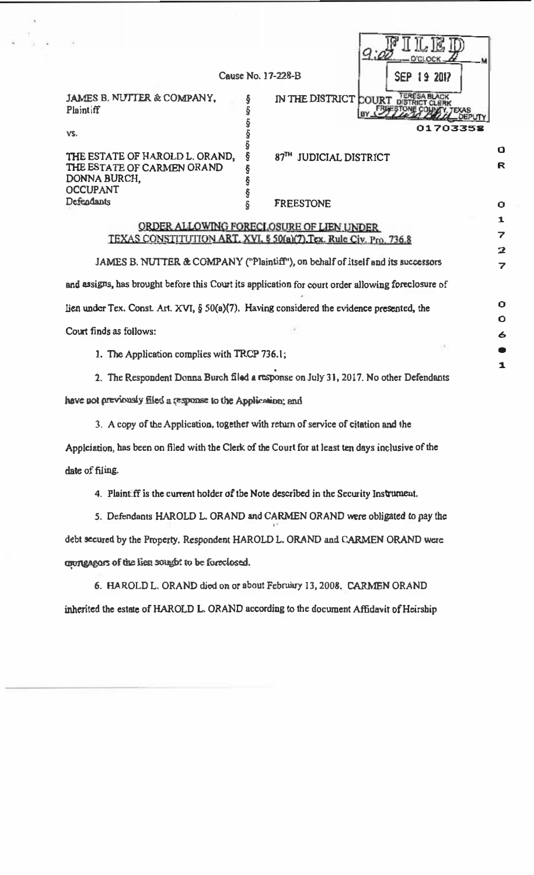|                                                                                      | Cause No. 17-228-B                       | <b>SEP 19 2017</b> |   |
|--------------------------------------------------------------------------------------|------------------------------------------|--------------------|---|
| <b>JAMES B. NUTTER &amp; COMPANY.</b><br>Plaintiff                                   | IN THE DISTRICT COURT DISTRICT CLERI     | I. TEXAS           |   |
| VS.                                                                                  |                                          | 01703358           |   |
| THE ESTATE OF HAROLD L. ORAND,                                                       | 87TH JUDICIAL DISTRICT                   |                    | O |
| THE ESTATE OF CARMEN ORAND<br>DONNA BURCH,<br><b>OCCUPANT</b>                        |                                          |                    | R |
| Defendants                                                                           | FREESTONE                                |                    | Ο |
|                                                                                      | ORDER ALLOWING FORECLOSURE OF LIEN UNDER |                    |   |
| $TCV \land CCV$ contented throws $ADT$ via $BCV \land CIV$ $T_{\text{max}}$ and $CU$ |                                          |                    |   |

JAMES B. NUTTER & COMPANY ("Plaintiff"), on behalf of itself and its successors and assigns, has brought before this Court its application for court order allowing foreclosure of lien under Tex. Const Art. XVI, § 50(a)(7). Having considered the evidence presented, the Court finds as follows:

TEXAS CONSTITUTION ART. XVI. § 50(a)(7). Tex. Rule Civ. Pro. 736.8

 $\overline{2}$ 7

0  $\mathbf{o}$ 6  $\bullet$ 1

- 1. The Application complies with TRCP 736.1;
- 2. The Respondent Donna Burch filed a response on July 31, 2017. No other Defendants

have not previously filed a response to the Application; and

3. A copy of the Application, together with return of service of citation and the

Applciation, has been on filed with the Clerk of the Court for at least ten days inclusive of the date of filing.

4. Plaintiff is the current holder of the Note described in the Security Jnstrurnent.

5. Defendants HAROLD L. ORAND and CARMEN ORAND were obligated to pay the '' debt secured by the Property. Respondent HAROLD L. ORAND and CARMEN ORAND were coongagors of the lien sought to be foreclosed.

|  |  | 6. HAROLD L. ORAND died on or about February 13, 2008. CARMEN ORAND                     |  |
|--|--|-----------------------------------------------------------------------------------------|--|
|  |  | inherited the estate of HAROLD L. ORAND according to the document Affidavit of Heirship |  |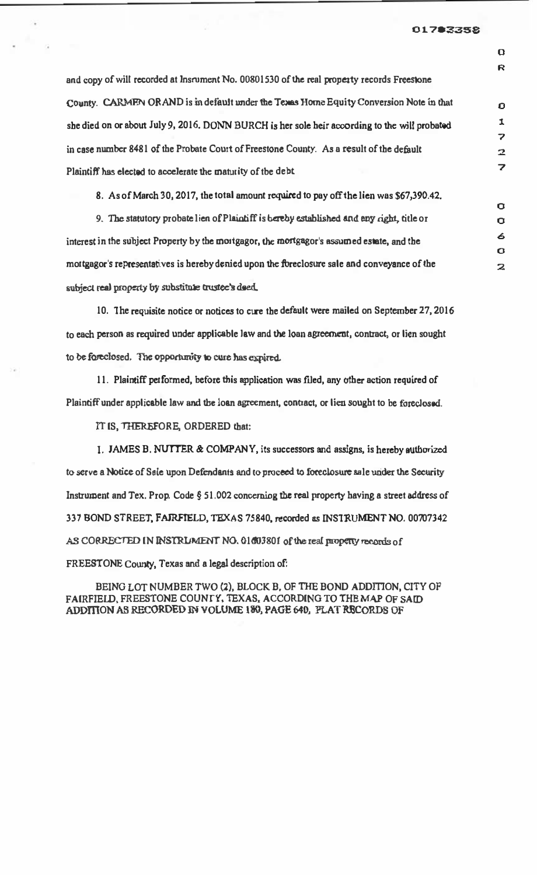## 01783358

 $\mathbf \Omega$ R

 $\Omega$ 1  $\overline{\phantom{a}}$ 2 7

 $\alpha$  $\mathbf{\Omega}$ 6  $\mathbf{o}$ 2

| and copy of will recorded at Insrument No. 00801530 of the real property records Freestone    |
|-----------------------------------------------------------------------------------------------|
| County. CARMEN ORAND is in default under the Texas Horne Equity Conversion Note in that       |
| she died on or about July 9, 2016. DONN BURCH is her sole heir according to the will probated |
| in case number 8481 of the Probate Court of Freestone County. As a result of the default      |
| Plaintiff has elected to accelerate the maturity of the debt                                  |

8. As of March 30, 2017, the total amount required to pay off the lien was \$67,390.42.

9. The statutory probate lien of Plaintiff is bereby established and any right, title or interest in the subject Property by the mortgagor, the mortgagor's assumed estate, and the mortgagor's representatives is hereby denied upon the foreclosure sale and conveyance of lhe subject real property by substitute trustee's deed.

10. The requisite notice or notices to cure the default were mailed on September 27, 2016 to each person as required under applicable law and the loan agreement, contract, or lien sought to be foreclosed. The opportunity to cure has expired.

11. Plaintiff performed, before this application was filed, any other action required of Plaintiff under applicable law and the loan agreement, contract, or lieu sought to be foreclosed.

IT IS, TIIEREFORE, ORDERED that:

I. JAMES B. NUTTER & COMPANY, its successors and assigns, is hereby authorized to serve a Notice of Sale upon Defendants and to proceed to foreclosure sale under the Security Instrument and Tex. Prop. Code  $\S$  51.002 concerning the real property having a street address of 337 BOND STREET. FAIRFIELD, TEXAS 75840. recorded as INSTRUMENT NO. 00707342 AS CORRECTED IN INSTRUMENT NO. 01603801 of the real property records of FREESTONE County, Texas and a legal description of:

BEING LOT NUMBER TWO (2), BLOCK B, OF THE BOND ADDITION, CITY OF FAIRFIELD, FREESTONE COUNTY, TEXAS, ACCORDING TO THE MAP OF SAID ADDITION AS RECORDED IN VOLUME 130, PAGE 640, FLAT RECORDS OF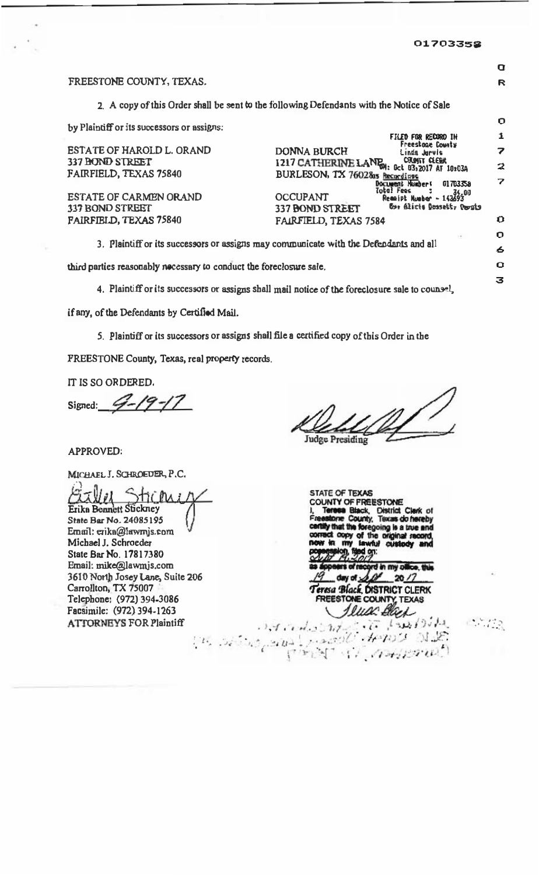$\overline{\mathbf{Q}}$ 

R

 $\mathbf O$ 

 $\Omega$ 

3

 $(1, 1, 1, 2)$ 

## FREESTONE COUNTY, TEXAS.

2. A copy of this Order shall be sent to the following Defendants with the Notice of Sale

by Plaintiff or its successors or assigns:

|                                                                                       |                                 | FILED FOR RECORD IN                               |   |
|---------------------------------------------------------------------------------------|---------------------------------|---------------------------------------------------|---|
| ESTATE OF HAROLD L. ORAND                                                             | <b>DONNA BURCH</b>              | Freestone County<br>Linda Jurvis                  |   |
| 337 BOND STREET                                                                       |                                 | 1217 CATHERINE LAND CAPIN LEEK 102034             | 2 |
| FAIRFIELD, TEXAS 75840                                                                | BURLESON, TX 76028as Recordings |                                                   |   |
|                                                                                       |                                 | Document Numbers<br>01703359                      | 7 |
| ESTATE OF CARMEN ORAND                                                                | <b>OCCUPANT</b>                 | Total Fees<br>34.00<br>$Recipt$ Number - $143693$ |   |
| 337 BOND STREET                                                                       | 337 BOND STREET                 | Cue filicis Dosseit, Pouls                        |   |
| FAIRFIELD, TEXAS 75840                                                                | FAIRFIELD, TEXAS 7584           |                                                   | ŋ |
|                                                                                       |                                 | $x + y$                                           | О |
| 3. Plaintiff or its successors or assigns may communicate with the Defendants and all |                                 |                                                   | 6 |
|                                                                                       |                                 |                                                   |   |

third parties reasonably nocessary to conduct the foreclosure sale.

4. Plaintiff or its successors or assigns shall mail notice of the foreclosure sale to counsel,

if any, of the Defendants by Certified Mail.

5. Plaintiff or its successors or assigns shall file a certified copy of this Order in the

FREESTONE County, Texas, real property records.

IT IS SO ORDERED.

Signed:

Judge Presiding

APPROVED:

MICHAEL J. SCHROEDER, P.C.

Erika Bennett Stickney State Bar No. 24085195 Email: erika@lawmjs.com Michael J. Schroeder State Bar No. 17817380 Email: mike@lawmjs.com 3610 North Josey Lane, Suite 206 Carrollton, TX 75007 Telephone: (972) 394-3086 Facsimile: (972) 394-1263 **ATTORNEYS FOR Plaintiff** 

STATE OF TEXAS **INTY OF FREESTONE** District Clark of s do hereby at the foregoing is a true an y of th arti sl **on:** d in my office, this N  $20/7$ eresa Black DISTRICT CLERK REESTONE **COUNTY, TEXAS** luca Bla

 $1.7.7.4.1.1.1.7.$ 

 $F$ 

 $1.12.77$ 

 $\{u_{i_1},u_{i_2}\}$  ,  $\{u_{i_3},u_{i_4}\}$ 

 $1 - 1.6$ 

 $H^{3}P^{3}$